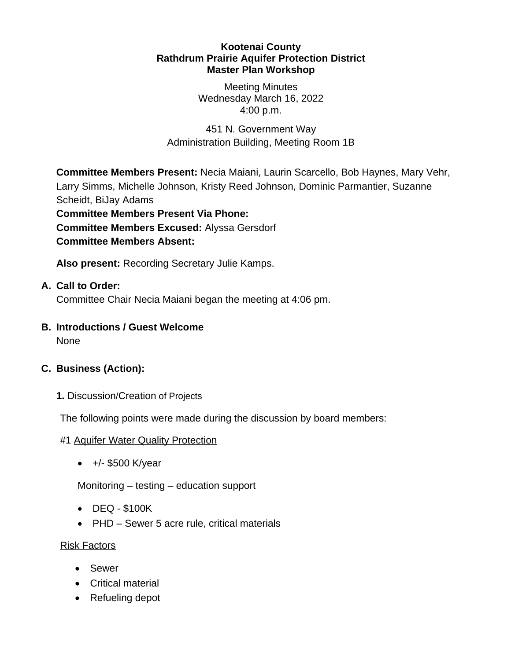#### **Kootenai County Rathdrum Prairie Aquifer Protection District Master Plan Workshop**

Meeting Minutes Wednesday March 16, 2022 4:00 p.m.

451 N. Government Way Administration Building, Meeting Room 1B

**Committee Members Present:** Necia Maiani, Laurin Scarcello, Bob Haynes, Mary Vehr, Larry Simms, Michelle Johnson, Kristy Reed Johnson, Dominic Parmantier, Suzanne Scheidt, BiJay Adams **Committee Members Present Via Phone:**

**Committee Members Excused:** Alyssa Gersdorf **Committee Members Absent:**

**Also present:** Recording Secretary Julie Kamps.

### **A. Call to Order:**

Committee Chair Necia Maiani began the meeting at 4:06 pm.

#### **B. Introductions / Guest Welcome** None

# **C. Business (Action):**

**1.** Discussion/Creation of Projects

The following points were made during the discussion by board members:

#### #1 Aquifer Water Quality Protection

 $+/-$  \$500 K/year

Monitoring – testing – education support

- DEQ \$100K
- PHD Sewer 5 acre rule, critical materials

#### Risk Factors

- Sewer
- Critical material
- Refueling depot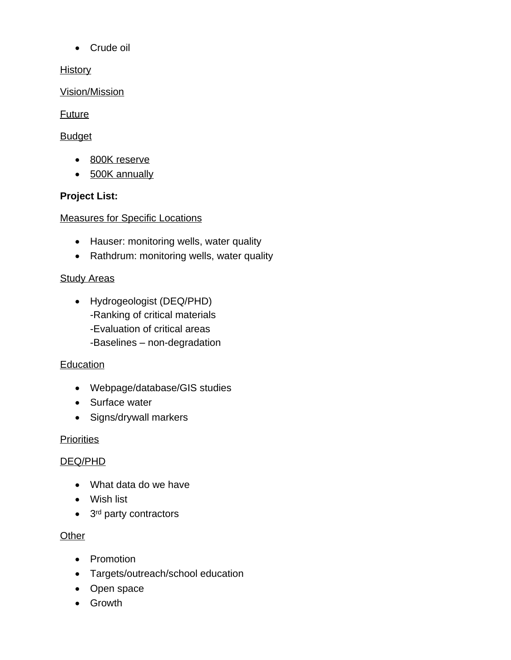Crude oil

**History** 

Vision/Mission

# Future

# **Budget**

- 800K reserve
- 500K annually

# **Project List:**

Measures for Specific Locations

- Hauser: monitoring wells, water quality
- Rathdrum: monitoring wells, water quality

# **Study Areas**

- Hydrogeologist (DEQ/PHD) -Ranking of critical materials
	- -Evaluation of critical areas
	- -Baselines non-degradation

# Education

- Webpage/database/GIS studies
- Surface water
- Signs/drywall markers

# **Priorities**

# DEQ/PHD

- What data do we have
- Wish list
- 3<sup>rd</sup> party contractors

# **Other**

- Promotion
- Targets/outreach/school education
- Open space
- Growth